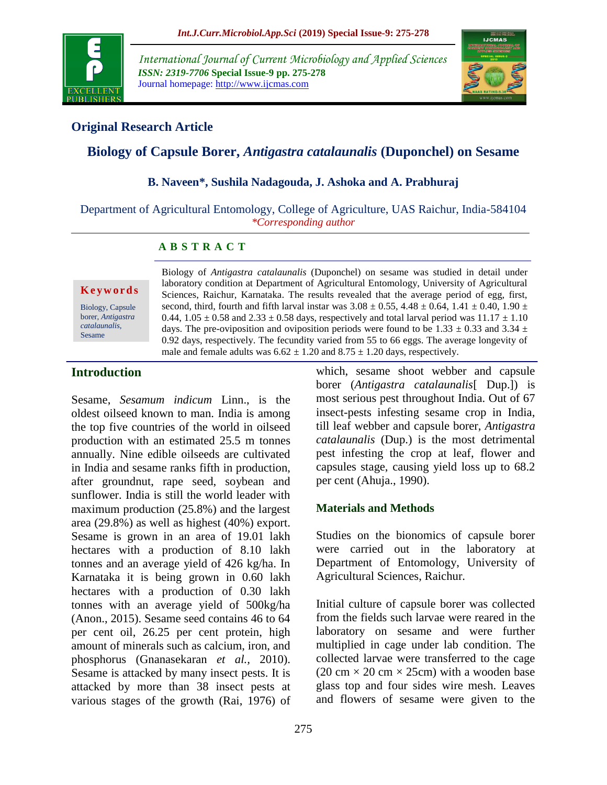

*International Journal of Current Microbiology and Applied Sciences ISSN: 2319-7706* **Special Issue-9 pp. 275-278** Journal homepage: http://www.ijcmas.com



## **Original Research Article**

# **Biology of Capsule Borer,** *Antigastra catalaunalis* **(Duponchel) on Sesame**

### **B. Naveen\*, Sushila Nadagouda, J. Ashoka and A. Prabhuraj**

Department of Agricultural Entomology, College of Agriculture, UAS Raichur, India-584104 *\*Corresponding author*

### **A B S T R A C T**

#### **K e y w o r d s**

Biology, Capsule borer, *Antigastra catalaunalis*, Sesame

Biology of *Antigastra catalaunalis* (Duponchel) on sesame was studied in detail under laboratory condition at Department of Agricultural Entomology, University of Agricultural Sciences, Raichur, Karnataka. The results revealed that the average period of egg, first, second, third, fourth and fifth larval instar was  $3.08 \pm 0.55$ ,  $4.48 \pm 0.64$ ,  $1.41 \pm 0.40$ ,  $1.90 \pm 0.05$ 0.44,  $1.05 \pm 0.58$  and  $2.33 \pm 0.58$  days, respectively and total larval period was  $11.17 \pm 1.10$ days. The pre-oviposition and oviposition periods were found to be 1.33  $\pm$  0.33 and 3.34  $\pm$ 0.92 days, respectively. The fecundity varied from 55 to 66 eggs. The average longevity of male and female adults was  $6.62 \pm 1.20$  and  $8.75 \pm 1.20$  days, respectively.

# **Introduction**

Sesame, *Sesamum indicum* Linn., is the oldest oilseed known to man. India is among the top five countries of the world in oilseed production with an estimated 25.5 m tonnes annually. Nine edible oilseeds are cultivated in India and sesame ranks fifth in production, after groundnut, rape seed, soybean and sunflower. India is still the world leader with maximum production (25.8%) and the largest area (29.8%) as well as highest (40%) export. Sesame is grown in an area of 19.01 lakh hectares with a production of 8.10 lakh tonnes and an average yield of 426 kg/ha. In Karnataka it is being grown in 0.60 lakh hectares with a production of 0.30 lakh tonnes with an average yield of 500kg/ha (Anon., 2015). Sesame seed contains 46 to 64 per cent oil, 26.25 per cent protein, high amount of minerals such as calcium, iron, and phosphorus (Gnanasekaran *et al.,* 2010). Sesame is attacked by many insect pests. It is attacked by more than 38 insect pests at various stages of the growth (Rai, 1976) of which, sesame shoot webber and capsule borer (*Antigastra catalaunalis*[ Dup.]) is most serious pest throughout India. Out of 67 insect-pests infesting sesame crop in India, till leaf webber and capsule borer, *Antigastra catalaunalis* (Dup.) is the most detrimental pest infesting the crop at leaf, flower and capsules stage, causing yield loss up to 68.2 per cent (Ahuja., 1990).

## **Materials and Methods**

Studies on the bionomics of capsule borer were carried out in the laboratory at Department of Entomology, University of Agricultural Sciences, Raichur.

Initial culture of capsule borer was collected from the fields such larvae were reared in the laboratory on sesame and were further multiplied in cage under lab condition. The collected larvae were transferred to the cage (20 cm  $\times$  20 cm  $\times$  25cm) with a wooden base glass top and four sides wire mesh. Leaves and flowers of sesame were given to the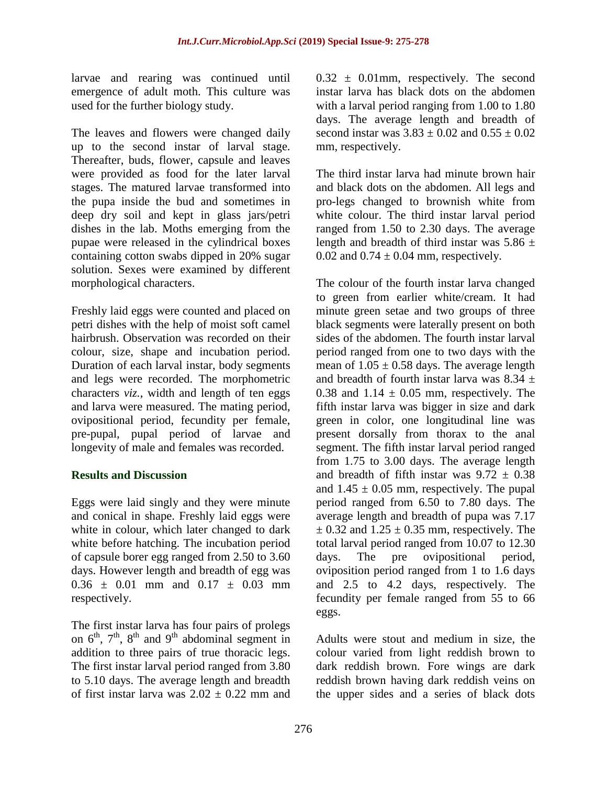larvae and rearing was continued until emergence of adult moth. This culture was used for the further biology study.

The leaves and flowers were changed daily up to the second instar of larval stage. Thereafter, buds, flower, capsule and leaves were provided as food for the later larval stages. The matured larvae transformed into the pupa inside the bud and sometimes in deep dry soil and kept in glass jars/petri dishes in the lab. Moths emerging from the pupae were released in the cylindrical boxes containing cotton swabs dipped in 20% sugar solution. Sexes were examined by different morphological characters.

Freshly laid eggs were counted and placed on petri dishes with the help of moist soft camel hairbrush. Observation was recorded on their colour, size, shape and incubation period. Duration of each larval instar, body segments and legs were recorded. The morphometric characters *viz.*, width and length of ten eggs and larva were measured. The mating period, ovipositional period, fecundity per female, pre-pupal, pupal period of larvae and longevity of male and females was recorded.

### **Results and Discussion**

Eggs were laid singly and they were minute and conical in shape. Freshly laid eggs were white in colour, which later changed to dark white before hatching. The incubation period of capsule borer egg ranged from 2.50 to 3.60 days. However length and breadth of egg was  $0.36 \pm 0.01$  mm and  $0.17 \pm 0.03$  mm respectively.

The first instar larva has four pairs of prolegs on  $6^{th}$ ,  $7^{th}$ ,  $8^{th}$  and  $9^{th}$  abdominal segment in addition to three pairs of true thoracic legs. The first instar larval period ranged from 3.80 to 5.10 days. The average length and breadth of first instar larva was  $2.02 \pm 0.22$  mm and  $0.32 \pm 0.01$  mm, respectively. The second instar larva has black dots on the abdomen with a larval period ranging from 1.00 to 1.80 days. The average length and breadth of second instar was  $3.83 \pm 0.02$  and  $0.55 \pm 0.02$ mm, respectively.

The third instar larva had minute brown hair and black dots on the abdomen. All legs and pro-legs changed to brownish white from white colour. The third instar larval period ranged from 1.50 to 2.30 days. The average length and breadth of third instar was  $5.86 \pm$ 0.02 and  $0.74 \pm 0.04$  mm, respectively.

The colour of the fourth instar larva changed to green from earlier white/cream. It had minute green setae and two groups of three black segments were laterally present on both sides of the abdomen. The fourth instar larval period ranged from one to two days with the mean of  $1.05 \pm 0.58$  days. The average length and breadth of fourth instar larva was  $8.34 +$ 0.38 and  $1.14 \pm 0.05$  mm, respectively. The fifth instar larva was bigger in size and dark green in color, one longitudinal line was present dorsally from thorax to the anal segment. The fifth instar larval period ranged from 1.75 to 3.00 days. The average length and breadth of fifth instar was  $9.72 \pm 0.38$ and  $1.45 \pm 0.05$  mm, respectively. The pupal period ranged from 6.50 to 7.80 days. The average length and breadth of pupa was 7.17  $\pm$  0.32 and 1.25  $\pm$  0.35 mm, respectively. The total larval period ranged from 10.07 to 12.30 days. The pre ovipositional period, oviposition period ranged from 1 to 1.6 days and 2.5 to 4.2 days, respectively. The fecundity per female ranged from 55 to 66 eggs.

Adults were stout and medium in size, the colour varied from light reddish brown to dark reddish brown. Fore wings are dark reddish brown having dark reddish veins on the upper sides and a series of black dots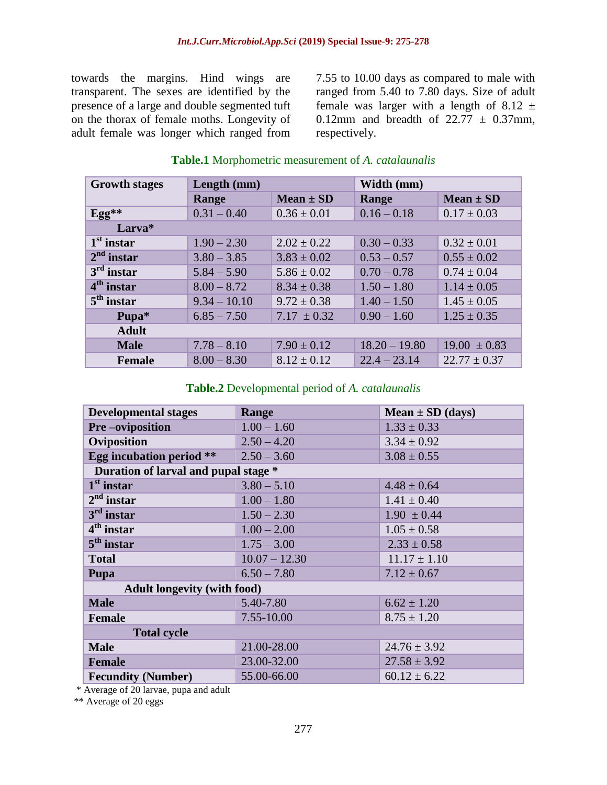towards the margins. Hind wings are transparent. The sexes are identified by the presence of a large and double segmented tuft on the thorax of female moths. Longevity of adult female was longer which ranged from 7.55 to 10.00 days as compared to male with ranged from 5.40 to 7.80 days. Size of adult female was larger with a length of 8.12  $\pm$ 0.12mm and breadth of  $22.77 \pm 0.37$ mm, respectively.

| <b>Growth stages</b> | Length (mm)    |                 | Width (mm)      |                  |  |
|----------------------|----------------|-----------------|-----------------|------------------|--|
|                      | Range          | Mean $\pm$ SD   | Range           | $Mean \pm SD$    |  |
| $Egg^*$              | $0.31 - 0.40$  | $0.36 \pm 0.01$ | $0.16 - 0.18$   | $0.17 \pm 0.03$  |  |
| Larva*               |                |                 |                 |                  |  |
| $1st$ instar         | $1.90 - 2.30$  | $2.02 \pm 0.22$ | $0.30 - 0.33$   | $0.32 \pm 0.01$  |  |
| $2nd$ instar         | $3.80 - 3.85$  | $3.83 \pm 0.02$ | $0.53 - 0.57$   | $0.55 \pm 0.02$  |  |
| $3rd$ instar         | $5.84 - 5.90$  | $5.86 \pm 0.02$ | $0.70 - 0.78$   | $0.74 \pm 0.04$  |  |
| $4th$ instar         | $8.00 - 8.72$  | $8.34 \pm 0.38$ | $1.50 - 1.80$   | $1.14 \pm 0.05$  |  |
| $5th$ instar         | $9.34 - 10.10$ | $9.72 \pm 0.38$ | $1.40 - 1.50$   | $1.45 \pm 0.05$  |  |
| Pupa*                | $6.85 - 7.50$  | $7.17 \pm 0.32$ | $0.90 - 1.60$   | $1.25 \pm 0.35$  |  |
| <b>Adult</b>         |                |                 |                 |                  |  |
| <b>Male</b>          | $7.78 - 8.10$  | $7.90 \pm 0.12$ | $18.20 - 19.80$ | $19.00 \pm 0.83$ |  |
| <b>Female</b>        | $8.00 - 8.30$  | $8.12 \pm 0.12$ | $22.4 - 23.14$  | $22.77 \pm 0.37$ |  |

# **Table.1** Morphometric measurement of *A. catalaunalis*

## **Table.2** Developmental period of *A. catalaunalis*

| <b>Developmental stages</b>          | Range           | Mean $\pm$ SD (days) |  |  |  |
|--------------------------------------|-----------------|----------------------|--|--|--|
| <b>Pre-oviposition</b>               | $1.00 - 1.60$   | $1.33 \pm 0.33$      |  |  |  |
| Oviposition                          | $2.50 - 4.20$   | $3.34 \pm 0.92$      |  |  |  |
| <b>Egg incubation period **</b>      | $2.50 - 3.60$   | $3.08 \pm 0.55$      |  |  |  |
| Duration of larval and pupal stage * |                 |                      |  |  |  |
| $1st$ instar                         | $3.80 - 5.10$   | $4.48 \pm 0.64$      |  |  |  |
| $2nd$ instar                         | $1.00 - 1.80$   | $1.41 \pm 0.40$      |  |  |  |
| $3rd$ instar                         | $1.50 - 2.30$   | $1.90 \pm 0.44$      |  |  |  |
| $4th$ instar                         | $1.00 - 2.00$   | $1.05 \pm 0.58$      |  |  |  |
| $5th$ instar                         | $1.75 - 3.00$   | $2.33 \pm 0.58$      |  |  |  |
| <b>Total</b>                         | $10.07 - 12.30$ | $11.17 \pm 1.10$     |  |  |  |
| Pupa                                 | $6.50 - 7.80$   | $7.12 \pm 0.67$      |  |  |  |
| <b>Adult longevity (with food)</b>   |                 |                      |  |  |  |
| <b>Male</b>                          | 5.40-7.80       | $6.62 \pm 1.20$      |  |  |  |
| <b>Female</b>                        | 7.55-10.00      | $8.75 \pm 1.20$      |  |  |  |
| <b>Total cycle</b>                   |                 |                      |  |  |  |
| <b>Male</b>                          | 21.00-28.00     | $24.76 \pm 3.92$     |  |  |  |
| <b>Female</b>                        | 23.00-32.00     | $27.58 \pm 3.92$     |  |  |  |
| <b>Fecundity (Number)</b>            | 55.00-66.00     | $60.12 \pm 6.22$     |  |  |  |

\* Average of 20 larvae, pupa and adult

\*\* Average of 20 eggs